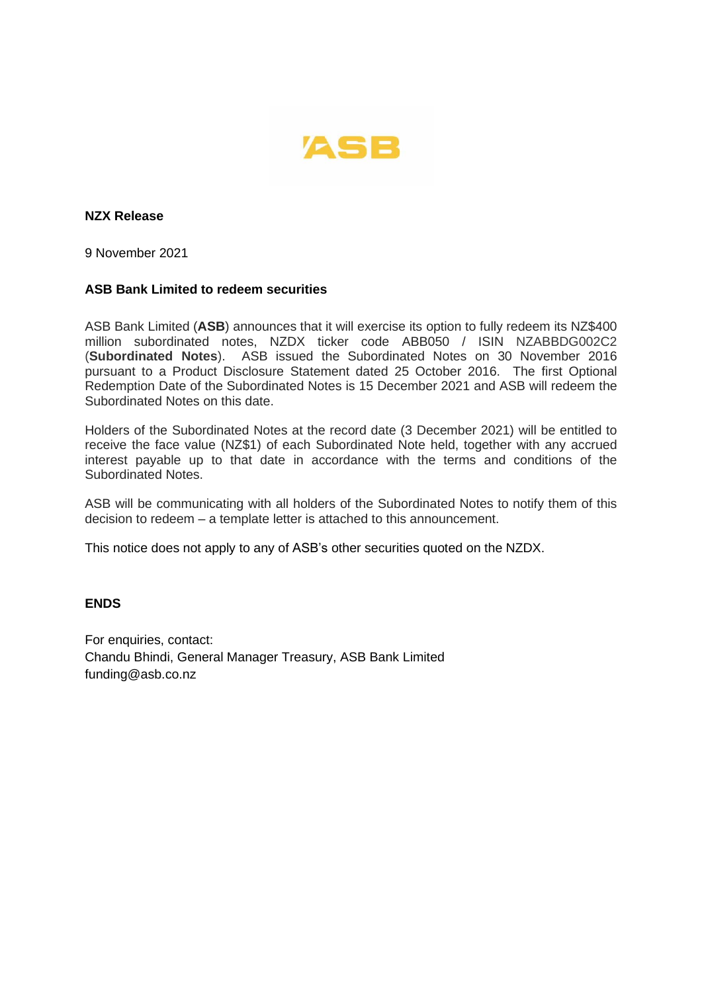

**NZX Release**

9 November 2021

## **ASB Bank Limited to redeem securities**

ASB Bank Limited (**ASB**) announces that it will exercise its option to fully redeem its NZ\$400 million subordinated notes, NZDX ticker code ABB050 / ISIN NZABBDG002C2 (**Subordinated Notes**). ASB issued the Subordinated Notes on 30 November 2016 pursuant to a Product Disclosure Statement dated 25 October 2016. The first Optional Redemption Date of the Subordinated Notes is 15 December 2021 and ASB will redeem the Subordinated Notes on this date.

Holders of the Subordinated Notes at the record date (3 December 2021) will be entitled to receive the face value (NZ\$1) of each Subordinated Note held, together with any accrued interest payable up to that date in accordance with the terms and conditions of the Subordinated Notes.

ASB will be communicating with all holders of the Subordinated Notes to notify them of this decision to redeem – a template letter is attached to this announcement.

This notice does not apply to any of ASB's other securities quoted on the NZDX.

## **ENDS**

For enquiries, contact: Chandu Bhindi, General Manager Treasury, ASB Bank Limited funding@asb.co.nz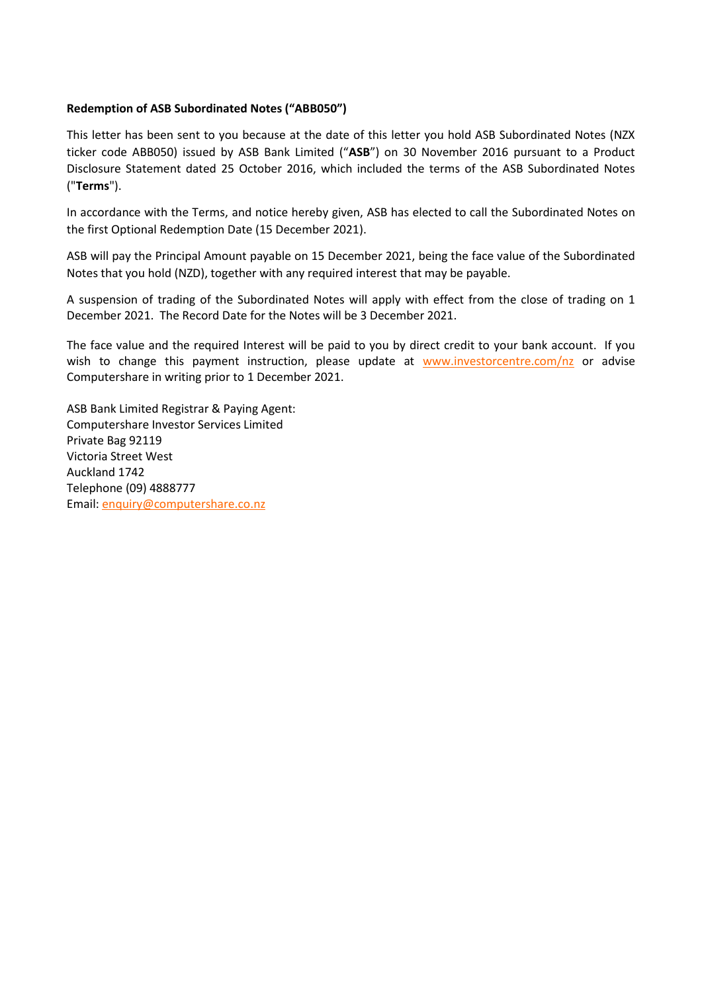## **Redemption of ASB Subordinated Notes ("ABB050")**

This letter has been sent to you because at the date of this letter you hold ASB Subordinated Notes (NZX ticker code ABB050) issued by ASB Bank Limited ("**ASB**") on 30 November 2016 pursuant to a Product Disclosure Statement dated 25 October 2016, which included the terms of the ASB Subordinated Notes ("**Terms**").

In accordance with the Terms, and notice hereby given, ASB has elected to call the Subordinated Notes on the first Optional Redemption Date (15 December 2021).

ASB will pay the Principal Amount payable on 15 December 2021, being the face value of the Subordinated Notes that you hold (NZD), together with any required interest that may be payable.

A suspension of trading of the Subordinated Notes will apply with effect from the close of trading on 1 December 2021. The Record Date for the Notes will be 3 December 2021.

The face value and the required Interest will be paid to you by direct credit to your bank account. If you wish to change this payment instruction, please update at [www.investorcentre.com/nz](http://www.investorcentre.com/nz) or advise Computershare in writing prior to 1 December 2021.

ASB Bank Limited Registrar & Paying Agent: Computershare Investor Services Limited Private Bag 92119 Victoria Street West Auckland 1742 Telephone (09) 4888777 Email[: enquiry@computershare.co.nz](mailto:enquiry@computershare.co.nz)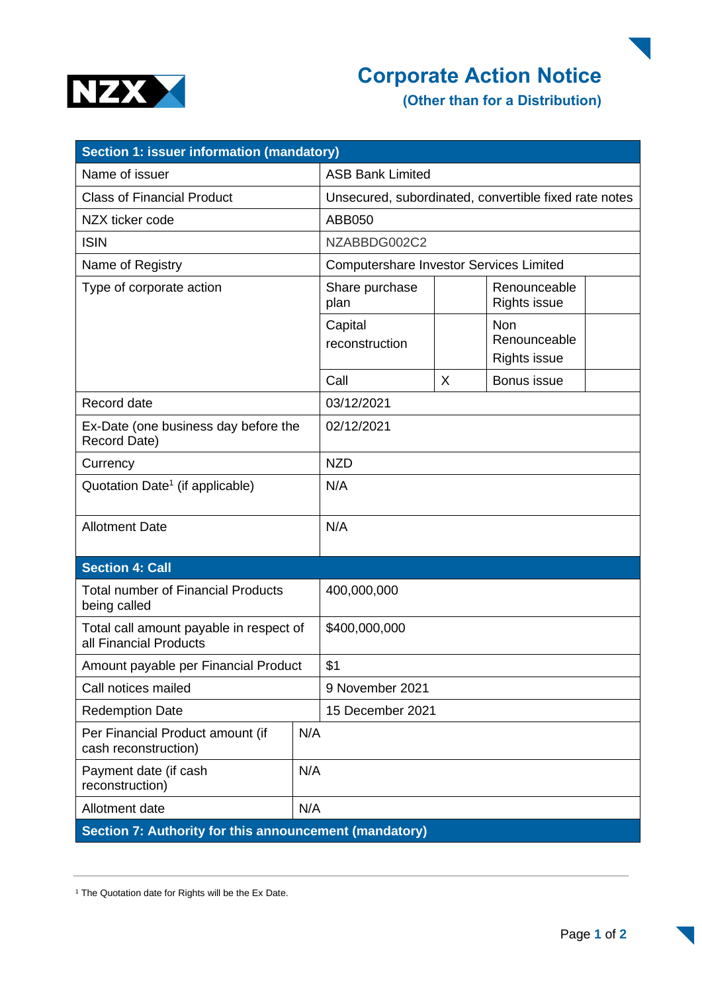

## **Corporate Action Notice**

**(Other than for a Distribution)**

| Section 1: issuer information (mandatory)                         |     |                                                       |   |                                                   |  |
|-------------------------------------------------------------------|-----|-------------------------------------------------------|---|---------------------------------------------------|--|
| Name of issuer                                                    |     | <b>ASB Bank Limited</b>                               |   |                                                   |  |
| <b>Class of Financial Product</b>                                 |     | Unsecured, subordinated, convertible fixed rate notes |   |                                                   |  |
| NZX ticker code                                                   |     | ABB050                                                |   |                                                   |  |
| <b>ISIN</b>                                                       |     | NZABBDG002C2                                          |   |                                                   |  |
| Name of Registry                                                  |     | <b>Computershare Investor Services Limited</b>        |   |                                                   |  |
| Type of corporate action                                          |     | Share purchase<br>plan                                |   | Renounceable<br><b>Rights issue</b>               |  |
|                                                                   |     | Capital<br>reconstruction                             |   | <b>Non</b><br>Renounceable<br><b>Rights issue</b> |  |
|                                                                   |     | Call                                                  | X | Bonus issue                                       |  |
| Record date                                                       |     | 03/12/2021                                            |   |                                                   |  |
| Ex-Date (one business day before the<br>Record Date)              |     | 02/12/2021                                            |   |                                                   |  |
| Currency                                                          |     | <b>NZD</b>                                            |   |                                                   |  |
| Quotation Date <sup>1</sup> (if applicable)                       |     | N/A                                                   |   |                                                   |  |
| <b>Allotment Date</b>                                             |     | N/A                                                   |   |                                                   |  |
| <b>Section 4: Call</b>                                            |     |                                                       |   |                                                   |  |
| <b>Total number of Financial Products</b><br>being called         |     | 400,000,000                                           |   |                                                   |  |
| Total call amount payable in respect of<br>all Financial Products |     | \$400,000,000                                         |   |                                                   |  |
| Amount payable per Financial Product                              |     | \$1                                                   |   |                                                   |  |
| Call notices mailed                                               |     | 9 November 2021                                       |   |                                                   |  |
| <b>Redemption Date</b>                                            |     | 15 December 2021                                      |   |                                                   |  |
| Per Financial Product amount (if<br>cash reconstruction)          | N/A |                                                       |   |                                                   |  |
| Payment date (if cash<br>reconstruction)                          | N/A |                                                       |   |                                                   |  |
| N/A<br>Allotment date                                             |     |                                                       |   |                                                   |  |
| Section 7: Authority for this announcement (mandatory)            |     |                                                       |   |                                                   |  |

<sup>1</sup> The Quotation date for Rights will be the Ex Date.